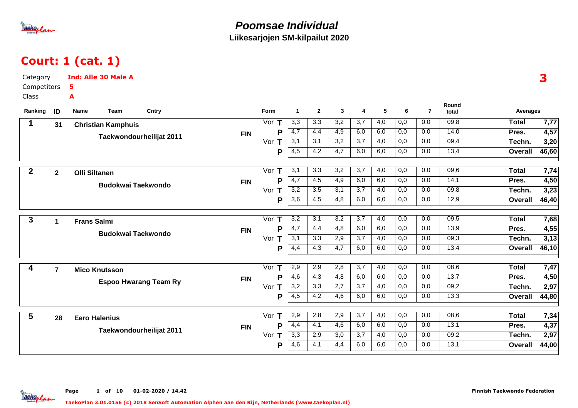

### Court: 1 (cat. 1)

| Category         |                | <b>Ind: Alle 30 Male A</b> |                              |            |                    |                      |                  |                  |                  |                  |                  |                  |                |                 | 3     |
|------------------|----------------|----------------------------|------------------------------|------------|--------------------|----------------------|------------------|------------------|------------------|------------------|------------------|------------------|----------------|-----------------|-------|
| Competitors      |                | 5                          |                              |            |                    |                      |                  |                  |                  |                  |                  |                  |                |                 |       |
| <b>Class</b>     |                | A                          |                              |            |                    |                      |                  |                  |                  |                  |                  |                  |                |                 |       |
| Ranking          | ID             | Team<br>Name               | Cntry                        |            | Form               | $\blacktriangleleft$ | $\overline{2}$   | $\mathbf{3}$     | 4                | 5                | 6                | $\overline{7}$   | Round<br>total | <b>Averages</b> |       |
| 1                | 31             | <b>Christian Kamphuis</b>  |                              |            | Vor $T$            | $\overline{3,3}$     | 3,3              | 3,2              | 3,7              | 4,0              | 0,0              | 0,0              | 09,8           | <b>Total</b>    | 7,77  |
|                  |                |                            |                              | <b>FIN</b> | P                  | $-4,7$               | 4,4              | 4,9              | 6,0              | 6,0              | 0,0              | 0,0              | 14,0           | Pres.           | 4,57  |
|                  |                |                            | Taekwondourheilijat 2011     |            | Vor $T$            | 3,1                  | 3,1              | 3,2              | $\overline{3,7}$ | $\overline{4,0}$ | 0,0              | $\overline{0,0}$ | 09,4           | Techn.          | 3,20  |
|                  |                |                            |                              |            | P                  | $\overline{4,5}$     | 4,2              | 4,7              | 6,0              | 6,0              | 0,0              | 0,0              | 13,4           | <b>Overall</b>  | 46,60 |
| $\boldsymbol{2}$ | $\overline{2}$ | <b>Olli Siltanen</b>       |                              |            | Vor<br>$\mathsf T$ | $\overline{3,1}$     | 3,3              | 3,2              | $\overline{3,7}$ | 4,0              | 0,0              | 0,0              | 09,6           | <b>Total</b>    | 7,74  |
|                  |                |                            |                              | <b>FIN</b> | P                  | $\overline{4,7}$     | 4,5              | 4,9              | 6,0              | 6,0              | 0,0              | 0,0              | 14,1           | Pres.           | 4,50  |
|                  |                |                            | <b>Budokwai Taekwondo</b>    |            | Vor $T$            | 3,2                  | 3,5              | 3,1              | 3,7              | 4,0              | 0,0              | 0,0              | 09,8           | Techn.          | 3,23  |
|                  |                |                            |                              |            | P                  | $\overline{3,6}$     | 4,5              | 4,8              | 6,0              | 6,0              | 0,0              | 0,0              | 12,9           | <b>Overall</b>  | 46,40 |
| $\mathbf{3}$     | $\mathbf 1$    | <b>Frans Salmi</b>         |                              |            | Vor $T$            | $\overline{3,2}$     | $\overline{3,1}$ | $\overline{3,2}$ | $\overline{3,7}$ | $\overline{4,0}$ | $\overline{0,0}$ | $\overline{0,0}$ | 09,5           | <b>Total</b>    | 7,68  |
|                  |                |                            |                              | <b>FIN</b> | P                  | $\overline{4,7}$     | 4,4              | 4,8              | 6,0              | 6,0              | 0,0              | 0,0              | 13,9           | Pres.           | 4,55  |
|                  |                |                            | <b>Budokwai Taekwondo</b>    |            | Vor T              | 3,1                  | $\overline{3,3}$ | 2,9              | $\overline{3,7}$ | 4,0              | 0,0              | 0,0              | 09,3           | Techn.          | 3,13  |
|                  |                |                            |                              |            | P                  | 4,4                  | 4,3              | 4,7              | 6,0              | 6,0              | 0,0              | 0,0              | 13,4           | <b>Overall</b>  | 46,10 |
| 4                | $\overline{7}$ | <b>Mico Knutsson</b>       |                              |            | Vor<br>T           | 2,9                  | 2,9              | 2,8              | 3,7              | 4,0              | 0,0              | 0,0              | 08,6           | <b>Total</b>    | 7,47  |
|                  |                |                            |                              | <b>FIN</b> | P                  | $-4,6$               | 4,3              | 4,8              | 6,0              | 6,0              | 0,0              | 0,0              | 13,7           | Pres.           | 4,50  |
|                  |                |                            | <b>Espoo Hwarang Team Ry</b> |            | Vor $T$            | 3,2                  | 3,3              | 2,7              | 3,7              | 4,0              | 0,0              | 0,0              | 09,2           | Techn.          | 2,97  |
|                  |                |                            |                              |            | P                  | 4,5                  | $\overline{4,2}$ | 4,6              | 6,0              | 6,0              | 0,0              | 0,0              | 13,3           | <b>Overall</b>  | 44,80 |
| 5                | 28             | <b>Eero Halenius</b>       |                              |            | Vor<br>Τ           | 2,9                  | 2,8              | 2,9              | $\overline{3,7}$ | 4,0              | 0,0              | 0,0              | 08,6           | <b>Total</b>    | 7,34  |
|                  |                |                            | Taekwondourheilijat 2011     | <b>FIN</b> | Þ                  | 4,4                  | 4,1              | 4,6              | 6,0              | 6,0              | 0,0              | 0,0              | 13,1           | Pres.           | 4,37  |
|                  |                |                            |                              |            | Vor $T$            | 3,3                  | 2,9              | 3,0              | 3,7              | 4,0              | 0,0              | 0,0              | 09,2           | Techn.          | 2,97  |
|                  |                |                            |                              |            | P                  | 4,6                  | 4,1              | 4,4              | 6,0              | 6,0              | 0,0              | 0,0              | 13,1           | <b>Overall</b>  | 44,00 |

Page 1 of 10 01-02-2020 / 14.42 aekoplan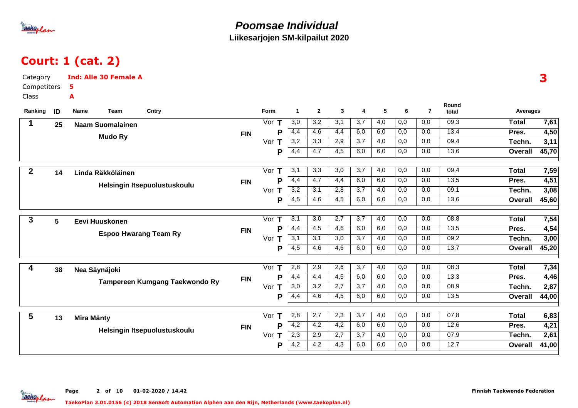

## Court: 1 (cat. 2)

| Category         |                 | <b>Ind: Alle 30 Female A</b> |                                |            |          |                      |                  |                  |                  |                  |                  |                  |                |                | 3     |
|------------------|-----------------|------------------------------|--------------------------------|------------|----------|----------------------|------------------|------------------|------------------|------------------|------------------|------------------|----------------|----------------|-------|
| Competitors      |                 | 5                            |                                |            |          |                      |                  |                  |                  |                  |                  |                  |                |                |       |
| Class            |                 | A                            |                                |            |          |                      |                  |                  |                  |                  |                  |                  |                |                |       |
| Ranking          | ID              | Name<br>Team                 | Cntry                          |            | Form     | $\blacktriangleleft$ | $\mathbf{2}$     | $\mathbf{3}$     | 4                | 5                | 6                | $\overline{7}$   | Round<br>total | Averages       |       |
| $\mathbf 1$      | 25              | <b>Naam Suomalainen</b>      |                                |            | Vor $T$  | 3,0                  | 3,2              | 3,1              | 3,7              | 4,0              | 0,0              | 0,0              | 09,3           | <b>Total</b>   | 7,61  |
|                  |                 |                              |                                | <b>FIN</b> | P        | 4,4                  | 4,6              | 4,4              | 6,0              | 6,0              | 0,0              | 0,0              | 13,4           | Pres.          | 4,50  |
|                  |                 | <b>Mudo Ry</b>               |                                |            | Vor $T$  | $\overline{3,2}$     | $\overline{3,3}$ | 2,9              | 3,7              | 4,0              | 0,0              | 0,0              | 09,4           | Techn.         | 3,11  |
|                  |                 |                              |                                |            | P        | 4,4                  | 4,7              | 4,5              | 6,0              | 6,0              | 0,0              | 0,0              | 13,6           | Overall        | 45,70 |
| $\boldsymbol{2}$ |                 |                              |                                |            | Vor T    | $\overline{3,1}$     | 3,3              | 3,0              | $\overline{3,7}$ | 4,0              | 0,0              | 0,0              | 09,4           | <b>Total</b>   | 7,59  |
|                  | 14              | Linda Räkköläinen            |                                | <b>FIN</b> | P        | 4,4                  | 4,7              | 4,4              | 6,0              | 6,0              | 0,0              | 0,0              | 13,5           | Pres.          | 4,51  |
|                  |                 |                              | Helsingin Itsepuolustuskoulu   |            | Vor<br>T | 3,2                  | 3,1              | 2,8              | 3,7              | 4,0              | 0,0              | 0,0              | 09,1           | Techn.         | 3,08  |
|                  |                 |                              |                                |            | P        | 4,5                  | $\overline{4,6}$ | $\overline{4,5}$ | 6,0              | 6,0              | 0,0              | 0,0              | 13,6           | <b>Overall</b> | 45,60 |
|                  |                 |                              |                                |            |          |                      |                  |                  |                  |                  |                  |                  |                |                |       |
| 3                | $5\phantom{.0}$ | Eevi Huuskonen               |                                |            | Vor $T$  | 3,1                  | 3,0              | $\overline{2,7}$ | $\overline{3,7}$ | $\overline{4,0}$ | $\overline{0,0}$ | 0,0              | 08,8           | <b>Total</b>   | 7,54  |
|                  |                 |                              | <b>Espoo Hwarang Team Ry</b>   | <b>FIN</b> | P        | 4,4                  | 4,5              | 4,6              | 6,0              | 6,0              | 0,0              | 0,0              | 13,5           | Pres.          | 4,54  |
|                  |                 |                              |                                |            | Vor $T$  | 3,1                  | 3,1              | 3,0              | $\overline{3,7}$ | 4,0              | 0,0              | 0,0              | 09,2           | Techn.         | 3,00  |
|                  |                 |                              |                                |            | P        | $-4,5$               | 4,6              | 4,6              | 6,0              | 6,0              | 0,0              | 0,0              | 13,7           | <b>Overall</b> | 45,20 |
| 4                | 38              | Nea Säynäjoki                |                                |            | Vor<br>T | 2,8                  | 2,9              | 2,6              | $\overline{3,7}$ | 4,0              | $\overline{0,0}$ | 0,0              | 08,3           | <b>Total</b>   | 7,34  |
|                  |                 |                              |                                | <b>FIN</b> | P        | $\overline{4,4}$     | 4,4              | 4,5              | 6,0              | 6,0              | 0,0              | 0,0              | 13,3           | Pres.          | 4,46  |
|                  |                 |                              | Tampereen Kumgang Taekwondo Ry |            | Vor $T$  | 3,0                  | 3,2              | $\overline{2,7}$ | $\overline{3,7}$ | $\overline{4,0}$ | 0,0              | 0,0              | 08,9           | Techn.         | 2,87  |
|                  |                 |                              |                                |            | P        | 4,4                  | 4,6              | 4,5              | 6,0              | 6,0              | 0,0              | 0,0              | 13,5           | <b>Overall</b> | 44,00 |
| 5                | 13              | <b>Mira Mänty</b>            |                                |            | Vor $T$  | 2,8                  | $\overline{2,7}$ | $\overline{2,3}$ | $\overline{3,7}$ | 4,0              | $\overline{0,0}$ | $\overline{0,0}$ | 07,8           | <b>Total</b>   | 6,83  |
|                  |                 |                              |                                | <b>FIN</b> | Р        | $\overline{4,2}$     | 4,2              | 4,2              | 6,0              | 6,0              | 0,0              | 0,0              | 12,6           | Pres.          | 4,21  |
|                  |                 |                              | Helsingin Itsepuolustuskoulu   |            | Vor<br>Т | $\overline{2,3}$     | 2,9              | 2,7              | 3,7              | 4,0              | 0,0              | 0,0              | 07,9           | Techn.         | 2,61  |
|                  |                 |                              |                                |            | Р        | 4,2                  | 4,2              | 4,3              | 6,0              | 6,0              | 0,0              | 0,0              | 12,7           | <b>Overall</b> | 41,00 |
|                  |                 |                              |                                |            |          |                      |                  |                  |                  |                  |                  |                  |                |                |       |

Page 2 of 10 01-02-2020 / 14.42

aekoplan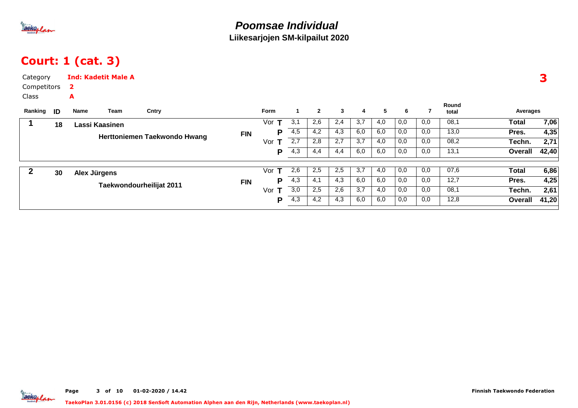

## Court: 1 (cat. 3)

| Category<br>Competitors<br>Class<br>Ranking | ID | 2<br>A<br>Name           | <b>Ind: Kadetit Male A</b><br>Team | Cntry                        |            | <b>Form</b> |     | $\overline{2}$ | $\mathbf{3}$ | 4   | 5   | 6   |     | Round<br>total | Averages     | 3     |
|---------------------------------------------|----|--------------------------|------------------------------------|------------------------------|------------|-------------|-----|----------------|--------------|-----|-----|-----|-----|----------------|--------------|-------|
|                                             | 18 |                          | Lassi Kaasinen                     |                              |            | Vor<br>т    | 3,1 | 2,6            | 2,4          | 3,7 | 4,0 | 0,0 | 0,0 | 08,1           | <b>Total</b> | 7,06  |
|                                             |    |                          |                                    | Herttoniemen Taekwondo Hwang | <b>FIN</b> | Р           | 4,5 | 4,2            | 4,3          | 6,0 | 6,0 | 0,0 | 0,0 | 13,0           | Pres.        | 4,35  |
|                                             |    |                          |                                    |                              |            | Vor $T$     | 2,7 | 2,8            | 2,7          | 3,7 | 4,0 | 0,0 | 0,0 | 08,2           | Techn.       | 2,71  |
|                                             |    |                          |                                    |                              |            | Р           | 4,3 | 4,4            | 4,4          | 6,0 | 6,0 | 0,0 | 0,0 | 13,1           | Overall      | 42,40 |
| 2                                           | 30 |                          |                                    |                              |            | Vor $T$     | 2,6 | 2,5            | 2,5          | 3,7 | 4,0 | 0,0 | 0,0 | 07,6           | Total        | 6,86  |
|                                             |    |                          | Alex Jürgens                       |                              | <b>FIN</b> | Р           | 4,3 | 4,1            | 4,3          | 6,0 | 6,0 | 0,0 | 0,0 | 12,7           | Pres.        | 4,25  |
|                                             |    | Taekwondourheilijat 2011 |                                    |                              |            | т<br>Vor    | 3,0 | 2,5            | 2,6          | 3,7 | 4,0 | 0,0 | 0,0 | 08,1           | Techn.       | 2,61  |
|                                             |    |                          |                                    |                              |            | Р           | 4,3 | 4,2            | 4,3          | 6,0 | 6,0 | 0,0 | 0,0 | 12,8           | Overall      | 41,20 |
|                                             |    |                          |                                    |                              |            |             |     |                |              |     |     |     |     |                |              |       |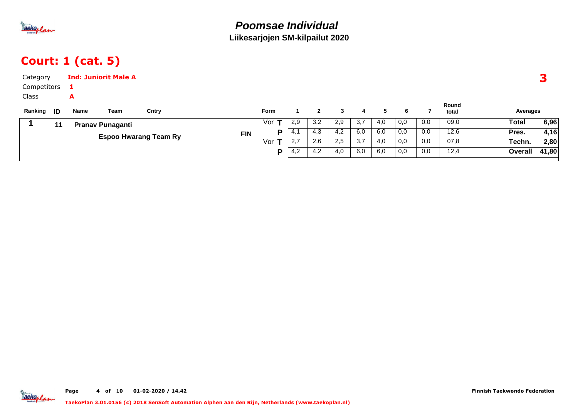

## Court: 1 (cat. 5)

| Category<br>Competitors    |    |           | <b>Ind: Juniorit Male A</b> |                              |            |             |     |                |     |     |     |     |     |                |          |       |
|----------------------------|----|-----------|-----------------------------|------------------------------|------------|-------------|-----|----------------|-----|-----|-----|-----|-----|----------------|----------|-------|
| Class<br>Ranking <b>ID</b> |    | A<br>Name | Team                        | Cntry                        |            | <b>Form</b> |     | $\overline{2}$ | 3   | 4   | 5   | 6   |     | Round<br>total | Averages |       |
|                            | 11 |           | <b>Pranav Punaganti</b>     |                              |            | Vor         | 2,9 | 3,2            | 2,9 | 3,7 | 4,0 | 0,0 | 0,0 | 09,0           | Total    | 6,96  |
|                            |    |           |                             |                              | <b>FIN</b> | P           | 4,1 | 4,3            | 4,2 | 6,0 | 6,0 | 0,0 | 0,0 | 12,6           | Pres.    | 4,16  |
|                            |    |           |                             | <b>Espoo Hwarang Team Ry</b> |            | Vor $T$     | 2,7 | 2,6            | 2,5 | 3,7 | 4,0 | 0,0 | 0,0 | 07,8           | Techn.   | 2,80  |
|                            |    |           |                             |                              |            | D           | 4,2 | 4,2            | 4,0 | 6,0 | 6,0 | 0,0 | 0,0 | 12,4           | Overall  | 41,80 |



Finnish Taekwondo Federation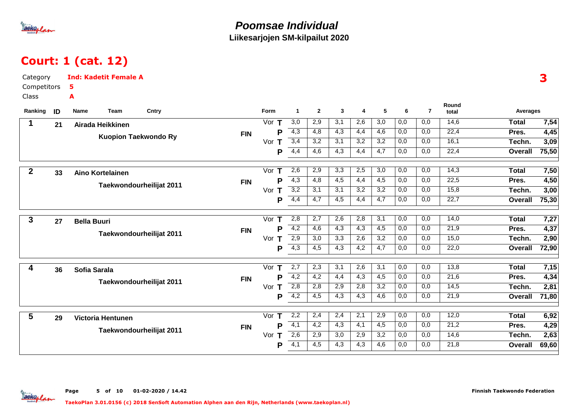

aekoplan

### **Poomsae IndividualLiikesarjojen SM-kilpailut 2020**

# Court: 1 (cat. 12)

| Category         |    | <b>Ind: Kadetit Female A</b> |                         |                             |            |          |                  |                  |                  |                  |                  |                  |                |                |                | 3     |
|------------------|----|------------------------------|-------------------------|-----------------------------|------------|----------|------------------|------------------|------------------|------------------|------------------|------------------|----------------|----------------|----------------|-------|
| Competitors      |    | 5                            |                         |                             |            |          |                  |                  |                  |                  |                  |                  |                |                |                |       |
| Class            |    | A                            |                         |                             |            |          |                  |                  |                  |                  |                  |                  |                |                |                |       |
| Ranking          | ID | Name                         | Team                    | Cntry                       |            | Form     | $\overline{1}$   | $\overline{2}$   | 3                | 4                | 5                | 6                | $\overline{7}$ | Round<br>total | Averages       |       |
| 1                | 21 |                              | Airada Heikkinen        |                             |            | Vor $T$  | $\overline{3,0}$ | 2,9              | 3,1              | 2,6              | $\overline{3,0}$ | 0,0              | 0,0            | 14,6           | <b>Total</b>   | 7,54  |
|                  |    |                              |                         |                             | <b>FIN</b> | P        | 4,3              | 4,8              | 4,3              | 4,4              | 4,6              | 0,0              | 0,0            | 22,4           | Pres.          | 4,45  |
|                  |    |                              |                         | <b>Kuopion Taekwondo Ry</b> |            | Vor $T$  | 3,4              | 3,2              | 3,1              | 3,2              | 3,2              | 0,0              | 0,0            | 16,1           | Techn.         | 3,09  |
|                  |    |                              |                         |                             |            | P        | 4,4              | 4,6              | 4,3              | 4,4              | 4,7              | 0,0              | 0,0            | 22,4           | Overall        | 75,50 |
| $\boldsymbol{2}$ | 33 |                              | <b>Aino Kortelainen</b> |                             |            | Vor<br>T | 2,6              | 2,9              | 3,3              | 2,5              | 3,0              | 0,0              | 0,0            | 14,3           | <b>Total</b>   | 7,50  |
|                  |    |                              |                         |                             | <b>FIN</b> | P        | 4,3              | 4,8              | $\overline{4,5}$ | $\overline{4,4}$ | 4,5              | 0,0              | 0,0            | 22,5           | Pres.          | 4,50  |
|                  |    |                              |                         | Taekwondourheilijat 2011    |            | Vor T    | $\overline{3,2}$ | 3,1              | 3,1              | 3,2              | 3,2              | 0,0              | 0,0            | 15,8           | Techn.         | 3,00  |
|                  |    |                              |                         |                             |            | P        | 4,4              | 4,7              | 4,5              | 4,4              | 4,7              | 0,0              | 0,0            | 22,7           | <b>Overall</b> | 75,30 |
| $\mathbf{3}$     | 27 | <b>Bella Buuri</b>           |                         |                             |            | T<br>Vor | 2,8              | $\overline{2,7}$ | 2,6              | 2,8              | $\overline{3,1}$ | $\overline{0,0}$ | 0,0            | 14,0           | <b>Total</b>   | 7,27  |
|                  |    |                              |                         |                             | <b>FIN</b> | P        | 4,2              | 4,6              | 4,3              | 4,3              | 4,5              | 0,0              | 0,0            | 21,9           | Pres.          | 4,37  |
|                  |    |                              |                         | Taekwondourheilijat 2011    |            | Vor $T$  | $\overline{2,9}$ | 3,0              | $\overline{3,3}$ | 2,6              | $\overline{3,2}$ | 0,0              | 0,0            | 15,0           | Techn.         | 2,90  |
|                  |    |                              |                         |                             |            | P        | $\overline{4,3}$ | 4,5              | $\overline{4,3}$ | 4,2              | 4,7              | 0,0              | 0,0            | 22,0           | <b>Overall</b> | 72,90 |
| 4                | 36 | Sofia Sarala                 |                         |                             |            | Vor<br>Т | 2,7              | 2,3              | 3,1              | 2,6              | 3,1              | 0,0              | 0,0            | 13,8           | <b>Total</b>   | 7,15  |
|                  |    |                              |                         |                             | <b>FIN</b> | P        | 4,2              | $\overline{4,2}$ | 4,4              | $\overline{4,3}$ | 4,5              | 0,0              | 0,0            | 21,6           | Pres.          | 4,34  |
|                  |    |                              |                         | Taekwondourheilijat 2011    |            | Vor<br>Τ | 2,8              | 2,8              | 2,9              | 2,8              | 3,2              | 0,0              | 0,0            | 14,5           | Techn.         | 2,81  |
|                  |    |                              |                         |                             |            | P        | 4,2              | 4,5              | 4,3              | 4,3              | 4,6              | 0,0              | 0,0            | 21,9           | <b>Overall</b> | 71,80 |
| 5                | 29 |                              | Victoria Hentunen       |                             |            | Vor $T$  | 2,2              | 2,4              | 2,4              | 2,1              | 2,9              | 0,0              | 0,0            | 12,0           | <b>Total</b>   | 6,92  |
|                  |    |                              |                         |                             | <b>FIN</b> | P        | $\overline{4,1}$ | 4,2              | $\overline{4,3}$ | 4,1              | 4,5              | 0,0              | 0,0            | 21,2           | Pres.          | 4,29  |
|                  |    |                              |                         | Taekwondourheilijat 2011    |            | Vor<br>T | 2,6              | 2,9              | 3,0              | 2,9              | 3,2              | 0,0              | 0,0            | 14,6           | Techn.         | 2,63  |
|                  |    |                              |                         |                             |            | P        | $\overline{4,1}$ | 4,5              | 4,3              | 4,3              | 4,6              | 0,0              | 0,0            | 21,8           | <b>Overall</b> | 69,60 |
|                  |    |                              |                         |                             |            |          |                  |                  |                  |                  |                  |                  |                |                |                |       |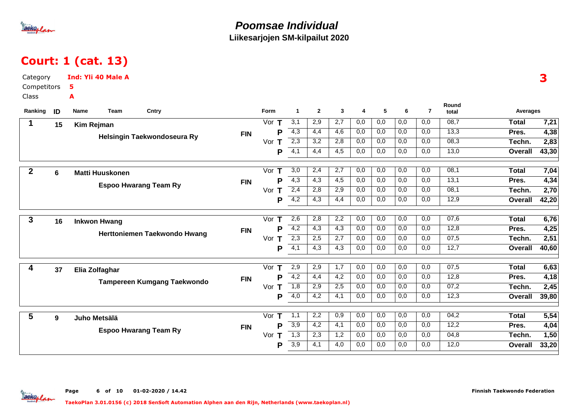

## Court: 1 (cat. 13)

| Category         |    | Ind: Yli 40 Male A           |                                    |            |          |                  |                |                  |                  |                  |                  |                |                |                | 3     |
|------------------|----|------------------------------|------------------------------------|------------|----------|------------------|----------------|------------------|------------------|------------------|------------------|----------------|----------------|----------------|-------|
| Competitors      |    | 5                            |                                    |            |          |                  |                |                  |                  |                  |                  |                |                |                |       |
| Class            |    | A                            |                                    |            |          |                  |                |                  |                  |                  |                  |                |                |                |       |
| Ranking          | ID | Team<br>Name                 | Cntry                              |            | Form     | $\mathbf{1}$     | $\overline{2}$ | $\mathbf{3}$     | 4                | 5                | 6                | $\overline{7}$ | Round<br>total | Averages       |       |
| 1                | 15 | <b>Kim Rejman</b>            |                                    |            | Vor $T$  | $\overline{3,1}$ | 2,9            | $\overline{2,7}$ | 0,0              | 0,0              | 0,0              | 0,0            | 08,7           | <b>Total</b>   | 7,21  |
|                  |    |                              | Helsingin Taekwondoseura Ry        | <b>FIN</b> | P        | 4,3              | 4,4            | 4,6              | 0,0              | 0,0              | 0,0              | 0,0            | 13,3           | Pres.          | 4,38  |
|                  |    |                              |                                    |            | Vor T    | $\overline{2,3}$ | 3,2            | 2,8              | 0,0              | 0,0              | 0,0              | 0,0            | 08,3           | Techn.         | 2,83  |
|                  |    |                              |                                    |            | P        | $\overline{4,1}$ | 4,4            | 4,5              | 0,0              | 0,0              | 0,0              | 0,0            | 13,0           | Overall        | 43,30 |
| $\boldsymbol{2}$ | 6  | <b>Matti Huuskonen</b>       |                                    |            | Vor $T$  | 3,0              | 2,4            | 2,7              | 0,0              | 0,0              | 0,0              | 0,0            | 08,1           | <b>Total</b>   | 7,04  |
|                  |    |                              | <b>Espoo Hwarang Team Ry</b>       | <b>FIN</b> | P        | $\overline{4,3}$ | 4,3            | $\overline{4,5}$ | $\overline{0,0}$ | 0,0              | 0,0              | 0,0            | 13,1           | Pres.          | 4,34  |
|                  |    |                              |                                    |            | Vor $T$  | 2,4              | 2,8            | 2,9              | 0,0              | 0,0              | 0,0              | 0,0            | 08,1           | Techn.         | 2,70  |
|                  |    |                              |                                    |            | P        | 4,2              | 4,3            | 4,4              | 0,0              | 0,0              | 0,0              | 0,0            | 12,9           | <b>Overall</b> | 42,20 |
| $\mathbf{3}$     | 16 | <b>Inkwon Hwang</b>          |                                    |            | Vor<br>Т | 2,6              | 2,8            | 2,2              | 0,0              | 0,0              | $\overline{0,0}$ | 0,0            | 07,6           | <b>Total</b>   | 6,76  |
|                  |    |                              | Herttoniemen Taekwondo Hwang       | <b>FIN</b> | P        | 4,2              | 4,3            | 4,3              | 0,0              | 0,0              | 0,0              | 0,0            | 12,8           | Pres.          | 4,25  |
|                  |    |                              |                                    |            | Vor T    | $\overline{2,3}$ | 2,5            | $\overline{2,7}$ | 0,0              | 0,0              | 0,0              | 0,0            | 07,5           | Techn.         | 2,51  |
|                  |    |                              |                                    |            | P        | $\overline{4,1}$ | 4,3            | 4,3              | 0,0              | 0,0              | 0,0              | 0,0            | 12,7           | <b>Overall</b> | 40,60 |
| 4                | 37 | Elia Zolfaghar               |                                    |            | Vor<br>T | 2,9              | 2,9            | $\overline{1,7}$ | $\overline{0,0}$ | $\overline{0,0}$ | $\overline{0,0}$ | 0,0            | 07,5           | <b>Total</b>   | 6,63  |
|                  |    |                              | <b>Tampereen Kumgang Taekwondo</b> | <b>FIN</b> | P        | 4,2              | 4,4            | 4,2              | 0,0              | 0,0              | 0,0              | 0,0            | 12,8           | Pres.          | 4,18  |
|                  |    |                              |                                    |            | Vor $T$  | 1,8              | 2,9            | 2,5              | 0,0              | 0,0              | 0,0              | 0,0            | 07,2           | Techn.         | 2,45  |
|                  |    |                              |                                    |            | P        | 4,0              | 4,2            | 4,1              | 0,0              | 0,0              | 0,0              | 0,0            | 12,3           | <b>Overall</b> | 39,80 |
| 5                | 9  | Juho Metsälä                 |                                    |            | Vor $T$  | 1,1              | 2,2            | 0,9              | 0,0              | 0,0              | 0,0              | 0,0            | 04,2           | <b>Total</b>   | 5,54  |
|                  |    |                              |                                    | <b>FIN</b> | Þ        | $\overline{3,9}$ | 4,2            | 4,1              | 0,0              | 0,0              | 0,0              | 0,0            | 12,2           | Pres.          | 4,04  |
|                  |    |                              |                                    |            | Vor $T$  | $\overline{1,3}$ | 2,3            | 1,2              | 0,0              | 0,0              | 0,0              | 0,0            | 04,8           | Techn.         | 1,50  |
|                  |    |                              |                                    |            | P        | $\overline{3,9}$ | 4,1            | 4,0              | 0,0              | 0,0              | 0,0              | 0,0            | 12,0           | <b>Overall</b> | 33,20 |
|                  |    | <b>Espoo Hwarang Team Ry</b> |                                    |            |          |                  |                |                  |                  |                  |                  |                |                |                |       |

**Jackoplan**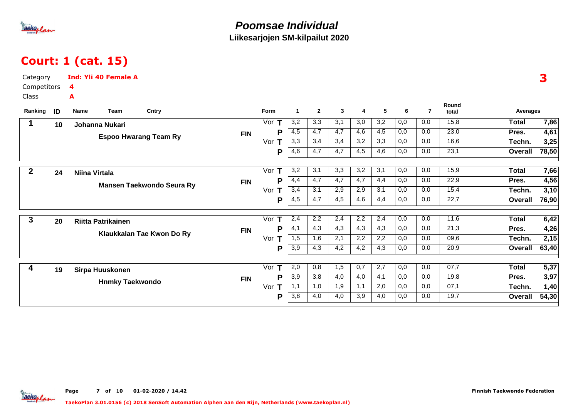

## Court: 1 (cat. 15)

| Category    |    | <b>Ind: Yli 40 Female A</b> |                        |                                  |            |                    |                      |                  |              |     |                 |     |                |                |                | 3     |
|-------------|----|-----------------------------|------------------------|----------------------------------|------------|--------------------|----------------------|------------------|--------------|-----|-----------------|-----|----------------|----------------|----------------|-------|
| Competitors |    | 4                           |                        |                                  |            |                    |                      |                  |              |     |                 |     |                |                |                |       |
| Class       |    | А                           |                        |                                  |            |                    |                      |                  |              |     |                 |     |                |                |                |       |
| Ranking     | ID | Name                        | Team                   | Cntry                            |            | Form               | $\blacktriangleleft$ | $\overline{2}$   | $\mathbf{3}$ | 4   | $5\phantom{.0}$ | -6  | $\overline{7}$ | Round<br>total | Averages       |       |
| 1           | 10 | Johanna Nukari              |                        |                                  |            | Vor<br>т           | 3,2                  | 3,3              | 3,1          | 3,0 | 3,2             | 0,0 | 0,0            | 15,8           | <b>Total</b>   | 7,86  |
|             |    |                             |                        |                                  | <b>FIN</b> | Р                  | 4,5                  | 4,7              | 4,7          | 4,6 | 4,5             | 0,0 | 0,0            | 23,0           | Pres.          | 4,61  |
|             |    |                             |                        | <b>Espoo Hwarang Team Ry</b>     |            | Vor<br>Т           | $\overline{3,3}$     | 3,4              | 3,4          | 3,2 | 3,3             | 0,0 | 0,0            | 16,6           | Techn.         | 3,25  |
|             |    |                             |                        |                                  |            | Р                  | $\overline{4,6}$     | 4,7              | 4,7          | 4,5 | 4,6             | 0,0 | 0,0            | 23,1           | <b>Overall</b> | 78,50 |
| $\mathbf 2$ | 24 | Niina Virtala               |                        |                                  |            | Vor<br>т           | 3,2                  | 3,1              | 3,3          | 3,2 | 3,1             | 0,0 | 0,0            | 15,9           | Total          | 7,66  |
|             |    |                             |                        |                                  | <b>FIN</b> | P                  | $\overline{4,4}$     | 4,7              | 4,7          | 4,7 | 4,4             | 0,0 | 0,0            | 22,9           | Pres.          | 4,56  |
|             |    |                             |                        | <b>Mansen Taekwondo Seura Ry</b> |            | Vor<br>т           | 3,4                  | 3,1              | 2,9          | 2,9 | 3,1             | 0,0 | 0,0            | 15,4           | Techn.         | 3,10  |
|             |    |                             |                        |                                  |            | P                  | $\overline{4,5}$     | 4,7              | 4,5          | 4,6 | 4,4             | 0,0 | 0,0            | 22,7           | Overall        | 76,90 |
| 3           | 20 | <b>Riitta Patrikainen</b>   |                        |                                  |            | Vor T              | 2,4                  | $\overline{2,2}$ | 2,4          | 2,2 | 2,4             | 0,0 | 0,0            | 11,6           | <b>Total</b>   | 6,42  |
|             |    |                             |                        |                                  | <b>FIN</b> | P                  | $\overline{4,1}$     | 4,3              | 4,3          | 4,3 | 4,3             | 0,0 | 0,0            | 21,3           | Pres.          | 4,26  |
|             |    |                             |                        | Klaukkalan Tae Kwon Do Ry        |            | Vor<br>Т           | 1,5                  | 1,6              | 2,1          | 2,2 | 2,2             | 0,0 | 0,0            | 09,6           | Techn.         | 2,15  |
|             |    |                             |                        |                                  |            | P                  | 3,9                  | 4,3              | 4,2          | 4,2 | 4,3             | 0,0 | 0,0            | 20,9           | Overall        | 63,40 |
| 4           | 19 | Sirpa Huuskonen             |                        |                                  |            | $\mathbf T$<br>Vor | 2,0                  | 0,8              | 1,5          | 0,7 | 2,7             | 0,0 | 0,0            | 07,7           | <b>Total</b>   | 5,37  |
|             |    |                             |                        |                                  | <b>FIN</b> | P                  | 3,9                  | 3,8              | 4,0          | 4,0 | 4,1             | 0,0 | 0,0            | 19,8           | Pres.          | 3,97  |
|             |    |                             | <b>Hnmky Taekwondo</b> |                                  |            | $\mathsf T$<br>Vor | 1,1                  | 1,0              | 1,9          | 1,1 | 2,0             | 0,0 | 0,0            | 07,1           | Techn.         | 1,40  |
|             |    |                             |                        |                                  |            | Р                  | $\overline{3,8}$     | 4,0              | 4,0          | 3,9 | 4,0             | 0,0 | 0,0            | 19,7           | Overall        | 54,30 |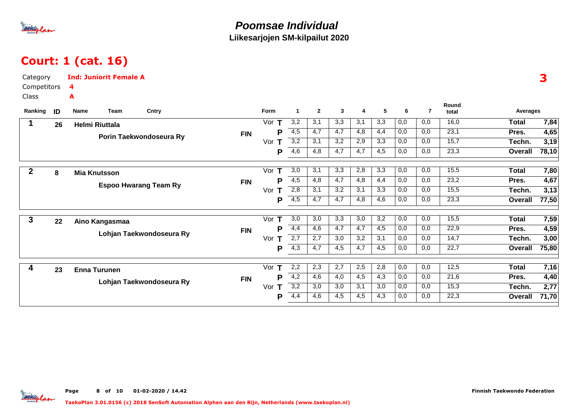

## Court: 1 (cat. 16)

| Category<br>Competitors<br><b>Class</b> |    | <b>Ind: Juniorit Female A</b><br>4<br>A |                    |                      |                |              |                  |                  |                  |                |                |                | 3     |
|-----------------------------------------|----|-----------------------------------------|--------------------|----------------------|----------------|--------------|------------------|------------------|------------------|----------------|----------------|----------------|-------|
| Ranking                                 | ID | Cntry<br>Name<br>Team                   | Form               | $\blacktriangleleft$ | $\overline{2}$ | $\mathbf{3}$ | 4                | 5                | 6                | $\overline{7}$ | Round<br>total | Averages       |       |
| 1                                       | 26 | <b>Helmi Riuttala</b>                   | Vor $T$            | 3,2                  | 3,1            | 3,3          | 3,1              | 3,3              | 0,0              | 0,0            | 16,0           | <b>Total</b>   | 7,84  |
|                                         |    | <b>FIN</b><br>Porin Taekwondoseura Ry   | Р                  | 4,5                  | 4,7            | 4,7          | 4,8              | 4,4              | 0,0              | 0,0            | 23,1           | Pres.          | 4,65  |
|                                         |    |                                         | Vor $T$            | 3,2                  | 3,1            | 3,2          | 2,9              | 3,3              | 0,0              | 0,0            | 15,7           | Techn.         | 3,19  |
|                                         |    |                                         | Ρ                  | $\overline{4,6}$     | 4,8            | 4,7          | 4,7              | 4,5              | 0,0              | 0,0            | 23,3           | Overall        | 78,10 |
| $\mathbf 2$                             | 8  | <b>Mia Knutsson</b>                     | Vor<br>$\mathsf T$ | 3,0                  | 3,1            | 3,3          | 2,8              | 3,3              | 0,0              | 0,0            | 15,5           | <b>Total</b>   | 7,80  |
|                                         |    | <b>FIN</b>                              | Р                  | $\overline{4,5}$     | 4,8            | 4,7          | 4,8              | 4,4              | 0,0              | 0,0            | 23,2           | Pres.          | 4,67  |
|                                         |    | <b>Espoo Hwarang Team Ry</b>            | Vor<br>$\mathsf T$ | 2,8                  | 3,1            | 3,2          | 3,1              | 3,3              | 0,0              | 0,0            | 15,5           | Techn.         | 3,13  |
|                                         |    |                                         | Ρ                  | 4,5                  | 4,7            | 4,7          | 4,8              | 4,6              | 0,0              | 0,0            | 23,3           | Overall        | 77,50 |
| 3                                       | 22 | Aino Kangasmaa                          | Vor<br>Т           | $\overline{3,0}$     | 3,0            | 3,3          | $\overline{3,0}$ | $\overline{3,2}$ | $\overline{0,0}$ | 0,0            | 15,5           | <b>Total</b>   | 7,59  |
|                                         |    | <b>FIN</b>                              | Р                  | 4,4                  | 4,6            | 4,7          | 4,7              | 4,5              | 0,0              | 0,0            | 22,9           | Pres.          | 4,59  |
|                                         |    | Lohjan Taekwondoseura Ry                | Vor<br>т           | 2,7                  | 2,7            | 3,0          | 3,2              | 3,1              | 0,0              | 0,0            | 14,7           | Techn.         | 3,00  |
|                                         |    |                                         | Ρ                  | 4,3                  | 4,7            | 4,5          | 4,7              | 4,5              | 0,0              | 0,0            | 22,7           | Overall        | 75,80 |
| 4                                       | 23 | <b>Enna Turunen</b>                     | Vor $T$            | 2,2                  | 2,3            | 2,7          | 2,5              | 2,8              | 0,0              | 0,0            | 12,5           | <b>Total</b>   | 7,16  |
|                                         |    | <b>FIN</b>                              | Р                  | $\overline{4,2}$     | 4,6            | 4,0          | 4,5              | 4,3              | 0,0              | 0,0            | 21,6           | Pres.          | 4,40  |
|                                         |    | Lohjan Taekwondoseura Ry                | Vor<br>Т           | 3,2                  | 3,0            | 3,0          | 3,1              | 3,0              | 0,0              | 0,0            | 15,3           | Techn.         | 2,77  |
|                                         |    |                                         | Р                  | 4,4                  | 4,6            | 4,5          | 4,5              | 4,3              | 0,0              | 0,0            | 22,3           | <b>Overall</b> | 71,70 |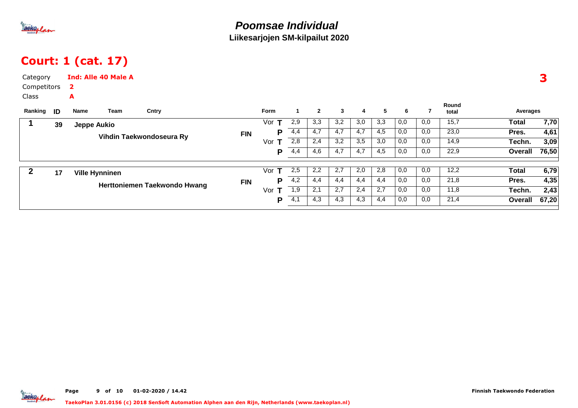

## Court: 1 (cat. 17)

| Category<br>Competitors<br>Class<br>Ranking <b>ID</b> |    | $\mathbf{2}$<br>A<br>Name | <b>Ind: Alle 40 Male A</b><br>Team | Cntry                        |            | Form      |     | $\mathbf{2}$ | $\mathbf{3}$ | 4                | 5   | 6   |      | Round<br>total | Averages     |       |
|-------------------------------------------------------|----|---------------------------|------------------------------------|------------------------------|------------|-----------|-----|--------------|--------------|------------------|-----|-----|------|----------------|--------------|-------|
|                                                       | 39 | Jeppe Aukio               |                                    |                              |            | т<br>Vor  | 2,9 | 3,3          | 3,2          | 3,0              | 3,3 | 0,0 | 0,0  | 15,7           | Total        | 7,70  |
|                                                       |    |                           |                                    |                              | <b>FIN</b> | P         | 4,4 | 4,7          | 4,7          | $\overline{4,7}$ | 4,5 | 0,0 | 0,0  | 23,0           | Pres.        | 4,61  |
|                                                       |    |                           | Vihdin Taekwondoseura Ry           |                              | Vor<br>т   | 2,8       | 2,4 | 3,2          | 3,5          | 3,0              | 0,0 | 0,0 | 14,9 | Techn.         | 3,09         |       |
|                                                       |    |                           |                                    |                              |            | P         | 4,4 | 4,6          | 4,7          | 4,7              | 4,5 | 0,0 | 0,0  | 22,9           | Overall      | 76,50 |
|                                                       |    |                           |                                    |                              |            | T.<br>Vor | 2,5 | 2,2          | 2,7          | 2,0              | 2,8 | 0,0 | 0,0  | 12,2           | <b>Total</b> | 6,79  |
|                                                       | 17 | <b>Ville Hynninen</b>     |                                    |                              |            | P         | 4,2 | 4,4          | 4,4          | 4,4              | 4,4 | 0,0 | 0,0  | 21,8           |              |       |
|                                                       |    |                           |                                    | Herttoniemen Taekwondo Hwang | <b>FIN</b> |           |     |              |              |                  |     |     |      |                | Pres.        | 4,35  |
|                                                       |    |                           |                                    |                              |            | Vor<br>т  | 1,9 | 2,1          | 2,7          | 2,4              | 2,7 | 0,0 | 0,0  | 11,8           | Techn.       | 2,43  |
|                                                       |    |                           |                                    |                              |            | P         | 4,1 | 4,3          | 4,3          | 4,3              | 4,4 | 0,0 | 0,0  | 21,4           | Overall      | 67,20 |

aekoplan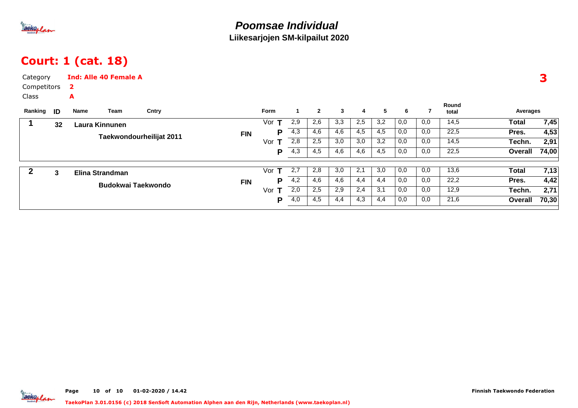

## Court: 1 (cat. 18)

| Category<br>Competitors<br>Class<br>Ranking | ID | 2<br>A<br>Name     | <b>Ind: Alle 40 Female A</b><br>Team | Cntry      |            | Form     |     | $\overline{2}$ | 3   | 4   | 5   | 6   |      | Round<br>total | Averages     | 3     |
|---------------------------------------------|----|--------------------|--------------------------------------|------------|------------|----------|-----|----------------|-----|-----|-----|-----|------|----------------|--------------|-------|
|                                             | 32 | Laura Kinnunen     |                                      |            |            | Vor<br>т | 2,9 | 2,6            | 3,3 | 2,5 | 3,2 | 0,0 | 0,0  | 14,5           | <b>Total</b> | 7,45  |
|                                             |    |                    | Taekwondourheilijat 2011             |            | <b>FIN</b> | P        | 4,3 | 4,6            | 4,6 | 4,5 | 4,5 | 0,0 | 0,0  | 22,5           | Pres.        | 4,53  |
|                                             |    |                    |                                      |            |            | Vor<br>т | 2,8 | 2,5            | 3,0 | 3,0 | 3,2 | 0,0 | 0,0  | 14,5           | Techn.       | 2,91  |
|                                             |    |                    |                                      |            |            | Р        | 4,3 | 4,5            | 4,6 | 4,6 | 4,5 | 0,0 | 0,0  | 22,5           | Overall      | 74,00 |
|                                             | 3  |                    |                                      |            |            | т<br>Vor | 2,7 | 2,8            | 3,0 | 2,1 | 3,0 | 0,0 | 0,0  | 13,6           | <b>Total</b> | 7,13  |
|                                             |    | Elina Strandman    |                                      | <b>FIN</b> | P          | 4,2      | 4,6 | 4,6            | 4,4 | 4,4 | 0,0 | 0,0 | 22,2 | Pres.          | 4,42         |       |
|                                             |    | Budokwai Taekwondo |                                      |            |            | Vor<br>T | 2,0 | 2,5            | 2,9 | 2,4 | 3,1 | 0,0 | 0,0  | 12,9           | Techn.       | 2,71  |
|                                             |    |                    |                                      |            | P          | 4,0      | 4,5 | 4,4            | 4,3 | 4,4 | 0,0 | 0,0 | 21,6 | Overall        | 70,30        |       |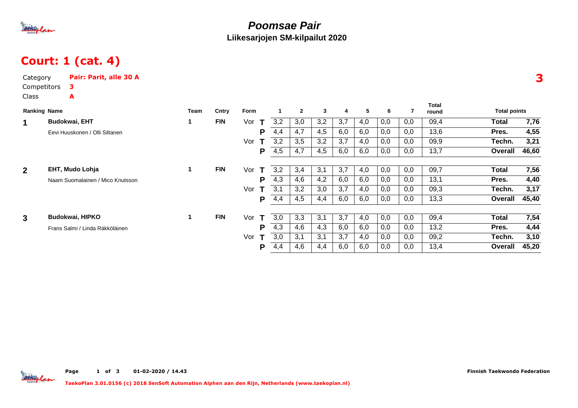

### **Poomsae PairLiikesarjojen SM-kilpailut 2020**

# Court: 1 (cat. 4)

| Category<br>Competitors | Pair: Parit, alle 30 A<br>з.     |              |            |          |     |                |     |     |     |     |     |                |                     |       |
|-------------------------|----------------------------------|--------------|------------|----------|-----|----------------|-----|-----|-----|-----|-----|----------------|---------------------|-------|
| Class                   | A                                |              |            |          |     |                |     |     |     |     |     |                |                     |       |
| <b>Ranking Name</b>     |                                  | Team         | Cntry      | Form     | 1   | $\overline{2}$ | 3   | 4   | 5   | 6   | 7   | Total<br>round | <b>Total points</b> |       |
| $\mathbf 1$             | <b>Budokwai, EHT</b>             | 1            | <b>FIN</b> | Vor<br>Т | 3,2 | 3,0            | 3,2 | 3,7 | 4,0 | 0,0 | 0,0 | 09,4           | Total               | 7,76  |
|                         | Eevi Huuskonen / Olli Siltanen   |              |            | P        | 4,4 | 4,7            | 4,5 | 6,0 | 6,0 | 0,0 | 0,0 | 13,6           | Pres.               | 4,55  |
|                         |                                  |              |            | Vor      | 3,2 | 3,5            | 3,2 | 3,7 | 4,0 | 0,0 | 0,0 | 09,9           | Techn.              | 3,21  |
|                         |                                  |              |            | P        | 4,5 | 4,7            | 4,5 | 6,0 | 6,0 | 0,0 | 0,0 | 13,7           | Overall             | 46,60 |
|                         |                                  |              |            |          |     |                |     |     |     |     |     |                |                     |       |
| 2 <sup>1</sup>          | EHT, Mudo Lohja                  | $\mathbf{1}$ | <b>FIN</b> | Vor<br>Т | 3,2 | 3,4            | 3,1 | 3,7 | 4,0 | 0,0 | 0,0 | 09,7           | Total               | 7,56  |
|                         | Naam Suomalainen / Mico Knutsson |              |            | P        | 4,3 | 4,6            | 4,2 | 6,0 | 6,0 | 0,0 | 0,0 | 13,1           | Pres.               | 4,40  |
|                         |                                  |              |            | Vor      | 3,1 | 3,2            | 3,0 | 3,7 | 4,0 | 0,0 | 0,0 | 09,3           | Techn.              | 3,17  |
|                         |                                  |              |            | P        | 4,4 | 4,5            | 4,4 | 6,0 | 6,0 | 0,0 | 0,0 | 13,3           | Overall             | 45,40 |
| 3                       | Budokwai, HIPKO                  | 1.           | <b>FIN</b> | Vor      | 3,0 | 3,3            | 3,1 | 3,7 | 4,0 | 0,0 | 0,0 | 09,4           | Total               | 7,54  |
|                         | Frans Salmi / Linda Räkköläinen  |              |            | P        | 4,3 | 4,6            | 4,3 | 6,0 | 6,0 | 0,0 | 0,0 | 13,2           | Pres.               | 4,44  |
|                         |                                  |              |            | Vor      | 3,0 | 3,1            | 3,1 | 3,7 | 4,0 | 0,0 | 0,0 | 09,2           | Techn.              | 3,10  |
|                         |                                  |              |            | Р        | 4,4 | 4,6            | 4,4 | 6,0 | 6,0 | 0,0 | 0,0 | 13,4           | Overall             | 45,20 |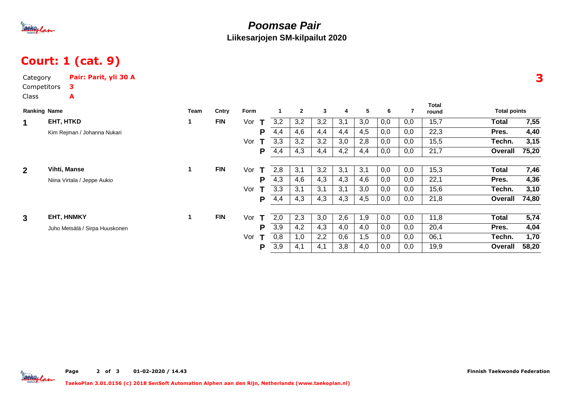

### **Poomsae PairLiikesarjojen SM-kilpailut 2020**

# Court: 1 (cat. 9)

| Competitors<br>з.<br>Class<br>A<br><b>Total</b><br>$\mathbf{2}$<br><b>Ranking Name</b><br>Form<br>3<br>$\overline{\mathbf{4}}$<br>5<br>6<br><b>Total points</b><br>Team<br>Cntry<br>7<br>round<br>EHT, HTKD<br><b>FIN</b><br>3,2<br>3,1<br>0,0<br>15,7<br>3,2<br>3,2<br>3,0<br>0,0<br><b>Total</b><br>1<br>Vor<br>T<br>1<br>22,3<br>4,4<br>4,6<br>4,4<br>4,5<br>0,0<br>0,0<br>Pres.<br>4,4<br>P<br>Kim Rejman / Johanna Nukari<br>3,3<br>3,2<br>3,2<br>3,0<br>0,0<br>0,0<br>15,5<br>Techn.<br>Vor<br>2,8<br>21,7<br>4,3<br>4,2<br>0,0<br>0,0<br>P<br>4,4<br>4,4<br>4,4<br>Overall<br><b>FIN</b><br>2 <sup>1</sup><br><b>Vihti, Manse</b><br>$\mathbf{1}$<br>2,8<br>3,1<br>3,2<br>3,1<br>3,1<br>0,0<br>0,0<br>15,3<br><b>Total</b><br>Vor<br>Т<br>4,3<br>4,3<br>0,0<br>22,1<br>4,6<br>4,3<br>4,6<br>0,0<br>Pres.<br>P<br>Niina Virtala / Jeppe Aukio<br>3,3<br>3,1<br>0,0<br>0,0<br>15,6<br>Vor<br>3,1<br>3,1<br>3,0<br>Techn.<br>21,8<br>4,3<br>4,3<br>4,3<br>0,0<br>0,0<br>P<br>4,4<br>4,5<br>Overall<br><b>FIN</b><br>5,74<br>EHT, HNMKY<br>2,0<br>2,3<br>3,0<br>2,6<br>0,0<br>11,8<br>3<br>$\mathbf{1}$<br>0,0<br>1,9<br><b>Total</b><br>Vor<br>T<br>3,9<br>4,2<br>4,3<br>0,0<br>0,0<br>20,4<br>4,0<br>4,0<br>Pres.<br>P<br>Juho Metsälä / Sirpa Huuskonen<br>0,8<br>06,1<br>Vor<br>2,2<br>0,6<br>1,5<br>0,0<br>0,0<br>Techn.<br>1,0<br>3,9<br>3,8<br>4,0<br>0,0<br>0,0<br>19,9<br>P<br>4,1<br>4,1<br>Overall | Category | Pair: Parit, yli 30 A |  |  |  |  |  |  |       |
|------------------------------------------------------------------------------------------------------------------------------------------------------------------------------------------------------------------------------------------------------------------------------------------------------------------------------------------------------------------------------------------------------------------------------------------------------------------------------------------------------------------------------------------------------------------------------------------------------------------------------------------------------------------------------------------------------------------------------------------------------------------------------------------------------------------------------------------------------------------------------------------------------------------------------------------------------------------------------------------------------------------------------------------------------------------------------------------------------------------------------------------------------------------------------------------------------------------------------------------------------------------------------------------------------------------------------------------------------------------------------------------------------------------|----------|-----------------------|--|--|--|--|--|--|-------|
|                                                                                                                                                                                                                                                                                                                                                                                                                                                                                                                                                                                                                                                                                                                                                                                                                                                                                                                                                                                                                                                                                                                                                                                                                                                                                                                                                                                                                  |          |                       |  |  |  |  |  |  |       |
|                                                                                                                                                                                                                                                                                                                                                                                                                                                                                                                                                                                                                                                                                                                                                                                                                                                                                                                                                                                                                                                                                                                                                                                                                                                                                                                                                                                                                  |          |                       |  |  |  |  |  |  |       |
|                                                                                                                                                                                                                                                                                                                                                                                                                                                                                                                                                                                                                                                                                                                                                                                                                                                                                                                                                                                                                                                                                                                                                                                                                                                                                                                                                                                                                  |          |                       |  |  |  |  |  |  |       |
|                                                                                                                                                                                                                                                                                                                                                                                                                                                                                                                                                                                                                                                                                                                                                                                                                                                                                                                                                                                                                                                                                                                                                                                                                                                                                                                                                                                                                  |          |                       |  |  |  |  |  |  | 7,55  |
|                                                                                                                                                                                                                                                                                                                                                                                                                                                                                                                                                                                                                                                                                                                                                                                                                                                                                                                                                                                                                                                                                                                                                                                                                                                                                                                                                                                                                  |          |                       |  |  |  |  |  |  | 4,40  |
|                                                                                                                                                                                                                                                                                                                                                                                                                                                                                                                                                                                                                                                                                                                                                                                                                                                                                                                                                                                                                                                                                                                                                                                                                                                                                                                                                                                                                  |          |                       |  |  |  |  |  |  | 3,15  |
|                                                                                                                                                                                                                                                                                                                                                                                                                                                                                                                                                                                                                                                                                                                                                                                                                                                                                                                                                                                                                                                                                                                                                                                                                                                                                                                                                                                                                  |          |                       |  |  |  |  |  |  | 75,20 |
|                                                                                                                                                                                                                                                                                                                                                                                                                                                                                                                                                                                                                                                                                                                                                                                                                                                                                                                                                                                                                                                                                                                                                                                                                                                                                                                                                                                                                  |          |                       |  |  |  |  |  |  |       |
|                                                                                                                                                                                                                                                                                                                                                                                                                                                                                                                                                                                                                                                                                                                                                                                                                                                                                                                                                                                                                                                                                                                                                                                                                                                                                                                                                                                                                  |          |                       |  |  |  |  |  |  | 7,46  |
|                                                                                                                                                                                                                                                                                                                                                                                                                                                                                                                                                                                                                                                                                                                                                                                                                                                                                                                                                                                                                                                                                                                                                                                                                                                                                                                                                                                                                  |          |                       |  |  |  |  |  |  | 4,36  |
|                                                                                                                                                                                                                                                                                                                                                                                                                                                                                                                                                                                                                                                                                                                                                                                                                                                                                                                                                                                                                                                                                                                                                                                                                                                                                                                                                                                                                  |          |                       |  |  |  |  |  |  | 3,10  |
|                                                                                                                                                                                                                                                                                                                                                                                                                                                                                                                                                                                                                                                                                                                                                                                                                                                                                                                                                                                                                                                                                                                                                                                                                                                                                                                                                                                                                  |          |                       |  |  |  |  |  |  | 74,80 |
|                                                                                                                                                                                                                                                                                                                                                                                                                                                                                                                                                                                                                                                                                                                                                                                                                                                                                                                                                                                                                                                                                                                                                                                                                                                                                                                                                                                                                  |          |                       |  |  |  |  |  |  |       |
|                                                                                                                                                                                                                                                                                                                                                                                                                                                                                                                                                                                                                                                                                                                                                                                                                                                                                                                                                                                                                                                                                                                                                                                                                                                                                                                                                                                                                  |          |                       |  |  |  |  |  |  |       |
|                                                                                                                                                                                                                                                                                                                                                                                                                                                                                                                                                                                                                                                                                                                                                                                                                                                                                                                                                                                                                                                                                                                                                                                                                                                                                                                                                                                                                  |          |                       |  |  |  |  |  |  | 4,04  |
|                                                                                                                                                                                                                                                                                                                                                                                                                                                                                                                                                                                                                                                                                                                                                                                                                                                                                                                                                                                                                                                                                                                                                                                                                                                                                                                                                                                                                  |          |                       |  |  |  |  |  |  | 1,70  |
|                                                                                                                                                                                                                                                                                                                                                                                                                                                                                                                                                                                                                                                                                                                                                                                                                                                                                                                                                                                                                                                                                                                                                                                                                                                                                                                                                                                                                  |          |                       |  |  |  |  |  |  | 58,20 |

3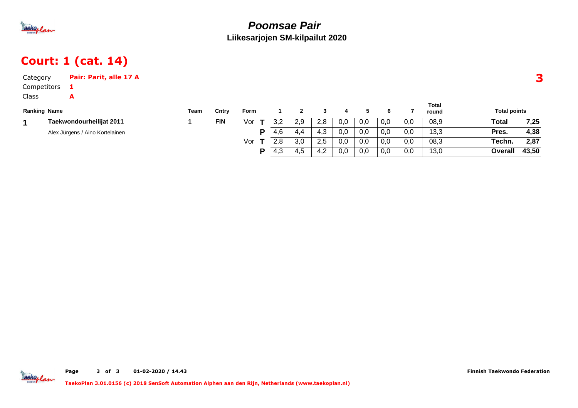

### **Poomsae PairLiikesarjojen SM-kilpailut 2020**

# Court: 1 (cat. 14)

| Category            | Pair: Parit, alle 17 A          |      |            |      |     |     |     |     |     |     |     |                       |                     | Э     |
|---------------------|---------------------------------|------|------------|------|-----|-----|-----|-----|-----|-----|-----|-----------------------|---------------------|-------|
| Competitors         |                                 |      |            |      |     |     |     |     |     |     |     |                       |                     |       |
| Class               | А                               |      |            |      |     |     |     |     |     |     |     |                       |                     |       |
| <b>Ranking Name</b> |                                 | Team | Cntry      | Form |     |     |     | 4   | 5   | 6.  |     | <b>Total</b><br>round | <b>Total points</b> |       |
|                     | Taekwondourheilijat 2011        |      | <b>FIN</b> | Vor  | 3,2 | 2.9 | 2.8 | 0,0 | 0,0 | 0,0 | 0.0 | 08,9                  | Total               | 7,25  |
|                     | Alex Jürgens / Aino Kortelainen |      |            | D    | 4,6 | 4.4 | 4,3 | 0,0 | 0,0 | 0,0 | 0,0 | 13,3                  | Pres.               | 4,38  |
|                     |                                 |      |            | Vor  | 2,8 | 3,0 | 2,5 | 0,0 | 0,0 | 0,0 | 0,0 | 08,3                  | Techn.              | 2,87  |
|                     |                                 |      |            | D    | 4,3 | 4,5 | 4.2 | 0,0 | 0,0 | 0,0 | 0,0 | 13,0                  | Overall             | 43,50 |

Tackoplan

Page <sup>3</sup>of <sup>3</sup> 01-02-2020 / 14.43 Finnish Taekwondo Federation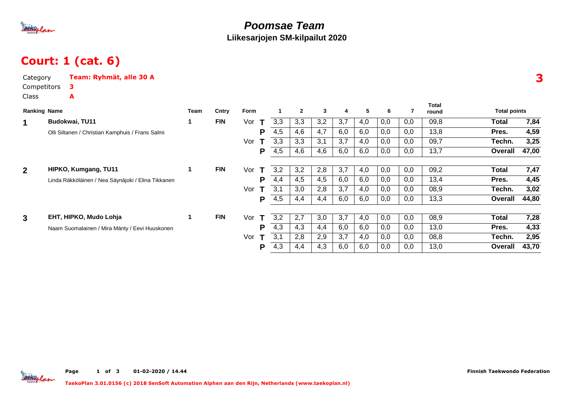

### **Poomsae TeamLiikesarjojen SM-kilpailut 2020**

## Court: 1 (cat. 6)

| Category<br>Competitors |                                                  | Team: Ryhmät, alle 30 A<br>3                       |      |            |          |     |              |              |     |     |     |     |                       |                     | 3     |
|-------------------------|--------------------------------------------------|----------------------------------------------------|------|------------|----------|-----|--------------|--------------|-----|-----|-----|-----|-----------------------|---------------------|-------|
| <b>Class</b>            |                                                  | A                                                  |      |            |          |     |              |              |     |     |     |     |                       |                     |       |
| <b>Ranking Name</b>     |                                                  |                                                    | Team | Cntry      | Form     |     | $\mathbf{2}$ | $\mathbf{3}$ | 4   | 5   | 6   |     | <b>Total</b><br>round | <b>Total points</b> |       |
| 1                       |                                                  | Budokwai, TU11                                     | 1    | <b>FIN</b> | Vor<br>т | 3,3 | 3,3          | 3,2          | 3,7 | 4,0 | 0,0 | 0,0 | 09,8                  | <b>Total</b>        | 7,84  |
|                         | Olli Siltanen / Christian Kamphuis / Frans Salmi |                                                    |      |            | P        | 4,5 | 4,6          | 4,7          | 6,0 | 6,0 | 0,0 | 0,0 | 13,8                  | Pres.               | 4,59  |
|                         |                                                  |                                                    |      |            | Vor      | 3,3 | 3,3          | 3,1          | 3,7 | 4,0 | 0,0 | 0,0 | 09,7                  | Techn.              | 3,25  |
|                         |                                                  |                                                    |      |            | P        | 4,5 | 4,6          | 4,6          | 6,0 | 6,0 | 0,0 | 0,0 | 13,7                  | Overall             | 47,00 |
|                         |                                                  |                                                    |      |            |          |     |              |              |     |     |     |     |                       |                     |       |
| $\overline{2}$          |                                                  | HIPKO, Kumgang, TU11                               | 1    | <b>FIN</b> | Vor      | 3,2 | 3,2          | 2,8          | 3,7 | 4,0 | 0,0 | 0,0 | 09,2                  | Total               | 7,47  |
|                         |                                                  | Linda Räkköläinen / Nea Säynäjoki / Elina Tikkanen |      |            | P        | 4,4 | 4,5          | 4,5          | 6,0 | 6,0 | 0,0 | 0,0 | 13,4                  | Pres.               | 4,45  |
|                         |                                                  |                                                    |      |            | Vor      | 3,1 | 3,0          | 2,8          | 3,7 | 4,0 | 0,0 | 0,0 | 08,9                  | Techn.              | 3,02  |
|                         |                                                  |                                                    |      |            | P        | 4,5 | 4,4          | 4,4          | 6,0 | 6,0 | 0,0 | 0,0 | 13,3                  | Overall             | 44,80 |
| $\mathbf{3}$            |                                                  | EHT, HIPKO, Mudo Lohja                             |      | <b>FIN</b> | Vor<br>т | 3,2 | 2,7          | 3,0          | 3,7 | 4,0 | 0,0 | 0,0 | 08,9                  | Total               | 7,28  |
|                         |                                                  | Naam Suomalainen / Mira Mänty / Eevi Huuskonen     |      |            | P        | 4,3 | 4,3          | 4,4          | 6,0 | 6,0 | 0,0 | 0,0 | 13,0                  | Pres.               | 4,33  |
|                         |                                                  |                                                    |      |            | Vor      | 3,1 | 2,8          | 2,9          | 3,7 | 4,0 | 0,0 | 0,0 | 08,8                  | Techn.              | 2,95  |
|                         |                                                  |                                                    |      |            | P        | 4,3 | 4,4          | 4,3          | 6,0 | 6,0 | 0,0 | 0,0 | 13,0                  | Overall             | 43,70 |



Page 1 of <sup>3</sup> 01-02-2020 / 14.44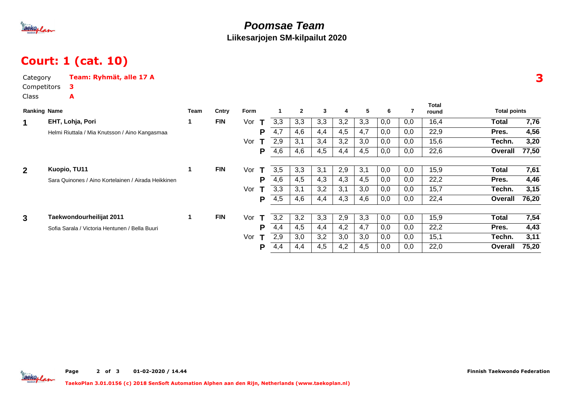

### **Poomsae TeamLiikesarjojen SM-kilpailut 2020**

## Court: 1 (cat. 10)

| <b>Total points</b>     |
|-------------------------|
| 7,76<br>Total           |
| 4,56<br>Pres.           |
| 3,20<br>Techn.          |
| 77,50<br>Overall        |
| 7,61<br>Total           |
| 4,46<br>Pres.           |
| 3,15<br>Techn.          |
| 76,20<br>Overall        |
| 7,54<br><b>Total</b>    |
| 4,43<br>Pres.           |
| 3,11<br>Techn.          |
| 75,20<br><b>Overall</b> |
|                         |

Taekoplan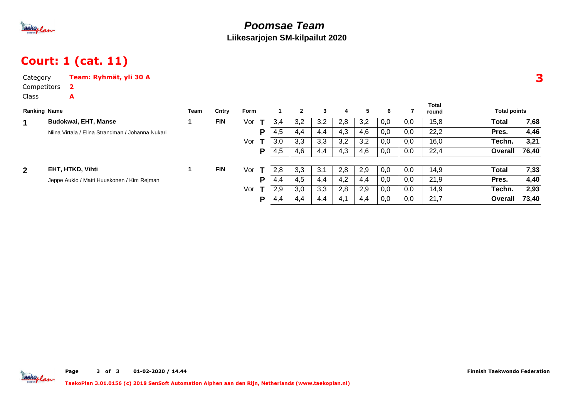

### **Poomsae TeamLiikesarjojen SM-kilpailut 2020**

## Court: 1 (cat. 11)

| Category            | Team: Ryhmät, yli 30 A                           |      |            |         |   |     |              |     |     |     |     |     |                |                     |       |
|---------------------|--------------------------------------------------|------|------------|---------|---|-----|--------------|-----|-----|-----|-----|-----|----------------|---------------------|-------|
| Competitors         | $\mathbf{2}$                                     |      |            |         |   |     |              |     |     |     |     |     |                |                     |       |
| Class               | A                                                |      |            |         |   |     |              |     |     |     |     |     |                |                     |       |
| <b>Ranking Name</b> |                                                  | Team | Cntry      | Form    |   |     | $\mathbf{2}$ | 3   | 4   | 5.  | 6   | 7   | Total<br>round | <b>Total points</b> |       |
| 1                   | <b>Budokwai, EHT, Manse</b>                      | 1.   | <b>FIN</b> | Vor $T$ |   | 3,4 | 3,2          | 3,2 | 2,8 | 3,2 | 0,0 | 0,0 | 15,8           | <b>Total</b>        | 7,68  |
|                     | Niina Virtala / Elina Strandman / Johanna Nukari |      |            |         | P | 4,5 | 4,4          | 4,4 | 4,3 | 4,6 | 0,0 | 0,0 | 22,2           | Pres.               | 4,46  |
|                     |                                                  |      |            | Vor     | T | 3,0 | 3,3          | 3,3 | 3,2 | 3,2 | 0,0 | 0,0 | 16,0           | Techn.              | 3,21  |
|                     |                                                  |      |            |         | P | 4,5 | 4,6          | 4,4 | 4,3 | 4,6 | 0,0 | 0,0 | 22,4           | Overall             | 76,40 |
|                     |                                                  |      |            |         |   |     |              |     |     |     |     |     |                |                     |       |
| $\overline{2}$      | EHT, HTKD, Vihti                                 | 1    | <b>FIN</b> | Vor     | T | 2,8 | 3,3          | 3,1 | 2,8 | 2,9 | 0,0 | 0,0 | 14,9           | Total               | 7,33  |
|                     | Jeppe Aukio / Matti Huuskonen / Kim Rejman       |      |            |         | P | 4,4 | 4,5          | 4,4 | 4,2 | 4,4 | 0,0 | 0,0 | 21,9           | Pres.               | 4,40  |
|                     |                                                  |      |            | Vor $T$ |   | 2,9 | 3,0          | 3,3 | 2,8 | 2,9 | 0,0 | 0,0 | 14,9           | Techn.              | 2,93  |
|                     |                                                  |      |            |         | P | 4,4 | 4,4          | 4,4 | 4,1 | 4,4 | 0,0 | 0,0 | 21,7           | Overall             | 73,40 |

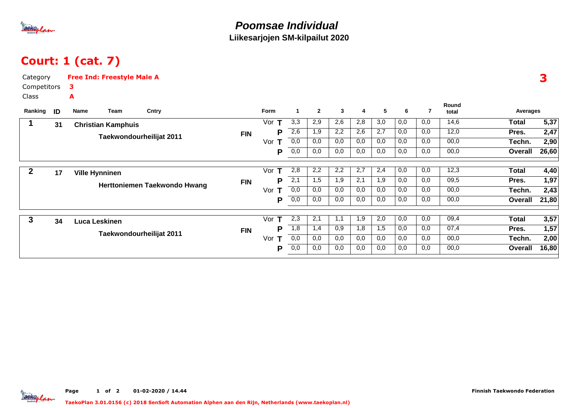

# Court: 1 (cat. 7)

| Category    |    | <b>Free Ind: Freestyle Male A</b> |      |                              |            |                    |              |                |     |     |     |     |     |                |                |                   |
|-------------|----|-----------------------------------|------|------------------------------|------------|--------------------|--------------|----------------|-----|-----|-----|-----|-----|----------------|----------------|-------------------|
| Competitors |    | 3                                 |      |                              |            |                    |              |                |     |     |     |     |     |                |                |                   |
| Class       |    | A                                 |      |                              |            |                    |              |                |     |     |     |     |     |                |                |                   |
| Ranking     | ID | Name                              | Team | Cntry                        |            | Form               | $\mathbf{1}$ | $\overline{2}$ | 3   | 4   | 5   | 6   | 7   | Round<br>total | Averages       |                   |
| 1           | 31 | <b>Christian Kamphuis</b>         |      |                              |            | $\mathbf T$<br>Vor | 3,3          | 2,9            | 2,6 | 2,8 | 3,0 | 0,0 | 0.0 | 14,6           | <b>Total</b>   | $\overline{5,37}$ |
|             |    |                                   |      |                              | <b>FIN</b> | Р                  | 2,6          | 1,9            | 2,2 | 2,6 | 2,7 | 0,0 | 0,0 | 12,0           | Pres.          | 2,47              |
|             |    |                                   |      | Taekwondourheilijat 2011     |            | Vor                | 0,0          | 0,0            | 0,0 | 0,0 | 0,0 | 0,0 | 0,0 | 00,0           | Techn.         | 2,90              |
|             |    |                                   |      |                              |            | P                  | 0,0          | 0,0            | 0,0 | 0,0 | 0,0 | 0,0 | 0,0 | 00,0           | Overall        | 26,60             |
| $\mathbf 2$ | 17 | <b>Ville Hynninen</b>             |      |                              |            | Vor<br>т           | 2,8          | 2,2            | 2,2 | 2,7 | 2,4 | 0,0 | 0,0 | 12,3           | <b>Total</b>   | 4,40              |
|             |    |                                   |      |                              | FIN        | Р                  | 2,1          | 1,5            | 1,9 | 2,1 | 1,9 | 0,0 | 0,0 | 09,5           | Pres.          | 1,97              |
|             |    |                                   |      | Herttoniemen Taekwondo Hwang |            | Vor<br>т           | 0,0          | 0,0            | 0,0 | 0,0 | 0,0 | 0,0 | 0,0 | 00,0           | Techn.         | 2,43              |
|             |    |                                   |      |                              |            | P                  | 0,0          | 0,0            | 0,0 | 0,0 | 0,0 | 0,0 | 0,0 | 00,0           | Overall        | 21,80             |
| 3           | 34 | Luca Leskinen                     |      |                              |            | Vor<br>т           | 2,3          | 2,1            | 1,1 | 1,9 | 2,0 | 0,0 | 0,0 | 09,4           | <b>Total</b>   | 3,57              |
|             |    |                                   |      |                              | <b>FIN</b> | Р                  | 1,8          | 1,4            | 0.9 | 1,8 | 1,5 | 0,0 | 0,0 | 07,4           | Pres.          | 1,57              |
|             |    | Taekwondourheilijat 2011          |      |                              |            | т<br>Vor           | 0,0          | 0,0            | 0,0 | 0,0 | 0,0 | 0,0 | 0,0 | 00,0           | Techn.         | 2,00              |
|             |    |                                   |      |                              |            | Р                  | 0,0          | 0,0            | 0,0 | 0,0 | 0,0 | 0,0 | 0,0 | 00,0           | <b>Overall</b> | 16,80             |
|             |    |                                   |      |                              |            |                    |              |                |     |     |     |     |     |                |                |                   |